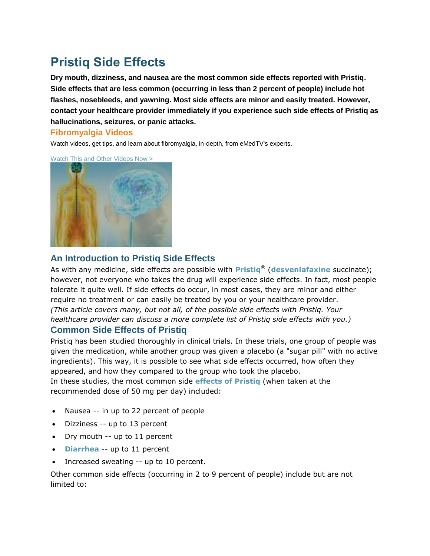# **Pristiq Side Effects**

**Dry mouth, dizziness, and nausea are the most common side effects reported with Pristiq. Side effects that are less common (occurring in less than 2 percent of people) include hot flashes, nosebleeds, and yawning. Most side effects are minor and easily treated. However, contact your healthcare provider immediately if you experience such side effects of Pristiq as hallucinations, seizures, or panic attacks.**

#### **Fibromyalgia Videos**

Watch videos, get tips, and learn about fibromyalgia, in-depth, from eMedTV's experts.





## **An Introduction to Pristiq Side Effects**

As with any medicine, side effects are possible with **[Pristiq](http://depression.emedtv.com/pristiq/pristiq.html)**® (**[desvenlafaxine](http://mental-health.emedtv.com/desvenlafaxine/desvenlafaxine.html)** succinate); however, not everyone who takes the drug will experience side effects. In fact, most people tolerate it quite well. If side effects do occur, in most cases, they are minor and either require no treatment or can easily be treated by you or your healthcare provider. *(This article covers many, but not all, of the possible side effects with Pristiq. Your healthcare provider can discuss a more complete list of Pristiq side effects with you.)*

### **Common Side Effects of Pristiq**

Pristiq has been studied thoroughly in clinical trials. In these trials, one group of people was given the medication, while another group was given a placebo (a "sugar pill" with no active ingredients). This way, it is possible to see what side effects occurred, how often they appeared, and how they compared to the group who took the placebo. In these studies, the most common side **[effects of Pristiq](http://depression.emedtv.com/pristiq/effects-of-pristiq.html)** (when taken at the

recommended dose of 50 mg per day) included:

- Nausea -- in up to 22 percent of people
- Dizziness -- up to 13 percent
- Dry mouth -- up to 11 percent
- **• [Diarrhea](http://diarrhea.emedtv.com/diarrhea/diarrhea.html)** -- up to 11 percent
- Increased sweating -- up to 10 percent.

Other common side effects (occurring in 2 to 9 percent of people) include but are not limited to: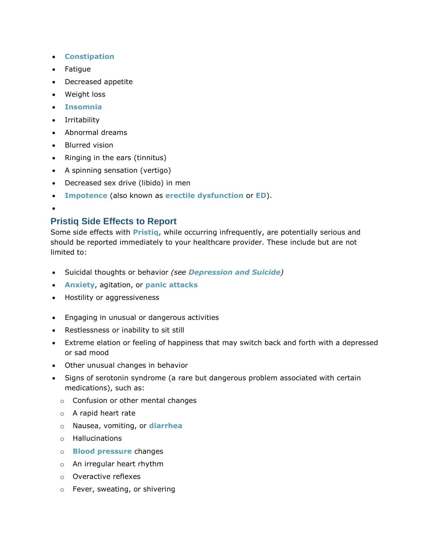- **[Constipation](http://constipation.emedtv.com/constipation/constipation.html)**
- Fatigue
- Decreased appetite
- Weight loss
- **[Insomnia](http://insomnia.emedtv.com/insomnia/insomnia.html)**
- **•** Irritability
- Abnormal dreams
- Blurred vision
- Ringing in the ears (tinnitus)
- A spinning sensation (vertigo)
- Decreased sex drive (libido) in men
- **[Impotence](http://men.emedtv.com/impotence/impotence.html)** (also known as **[erectile dysfunction](http://erectile-dysfunction.emedtv.com/erectile-dysfunction/erectile-dysfunction.html)** or **[ED](http://erectile-dysfunction.emedtv.com/ed/ed.html)**).
- $\bullet$

## **Pristiq Side Effects to Report**

Some side effects with **[Pristiq](http://depression.emedtv.com/pristiq/pristiq.html)**, while occurring infrequently, are potentially serious and should be reported immediately to your healthcare provider. These include but are not limited to:

- Suicidal thoughts or behavior *(see [Depression and Suicide](http://depression.emedtv.com/depression/depression-and-suicide.html))*
- **[Anxiety](http://anxiety.emedtv.com/anxiety/anxiety.html)**, agitation, or **[panic attacks](http://anxiety.emedtv.com/panic-attacks/panic-attacks.html)**
- Hostility or aggressiveness
- Engaging in unusual or dangerous activities
- Restlessness or inability to sit still
- Extreme elation or feeling of happiness that may switch back and forth with a depressed or sad mood
- Other unusual changes in behavior
- Signs of serotonin syndrome (a rare but dangerous problem associated with certain medications), such as:
	- o Confusion or other mental changes
	- o A rapid heart rate
	- o Nausea, vomiting, or **[diarrhea](http://diarrhea.emedtv.com/diarrhea/diarrhea.html)**
	- o Hallucinations
	- o **[Blood pressure](http://blood-pressure.emedtv.com/blood-pressure/blood-pressure.html)** changes
	- o An irregular heart rhythm
	- o Overactive reflexes
	- o Fever, sweating, or shivering